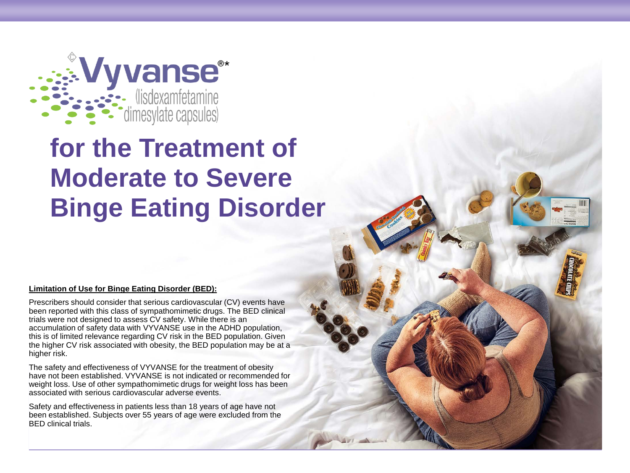

# **for the Treatment of Moderate to Severe Binge Eating Disorder**

#### **Limitation of Use for Binge Eating Disorder (BED):**

Prescribers should consider that serious cardiovascular (CV) events have been reported with this class of sympathomimetic drugs. The BED clinical trials were not designed to assess CV safety. While there is an accumulation of safety data with VYVANSE use in the ADHD population, this is of limited relevance regarding CV risk in the BED population. Given the higher CV risk associated with obesity, the BED population may be at a higher risk.

The safety and effectiveness of VYVANSE for the treatment of obesity have not been established. VYVANSE is not indicated or recommended for weight loss. Use of other sympathomimetic drugs for weight loss has been associated with serious cardiovascular adverse events.

Safety and effectiveness in patients less than 18 years of age have not been established. Subjects over 55 years of age were excluded from the BED clinical trials.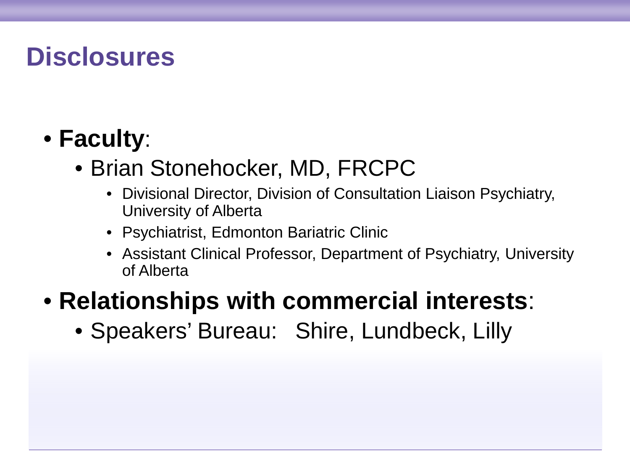# **Disclosures**

### • **Faculty**:

### • Brian Stonehocker, MD, FRCPC

- Divisional Director, Division of Consultation Liaison Psychiatry, University of Alberta
- Psychiatrist, Edmonton Bariatric Clinic
- Assistant Clinical Professor, Department of Psychiatry, University of Alberta

### • **Relationships with commercial interests**:

• Speakers' Bureau: Shire, Lundbeck, Lilly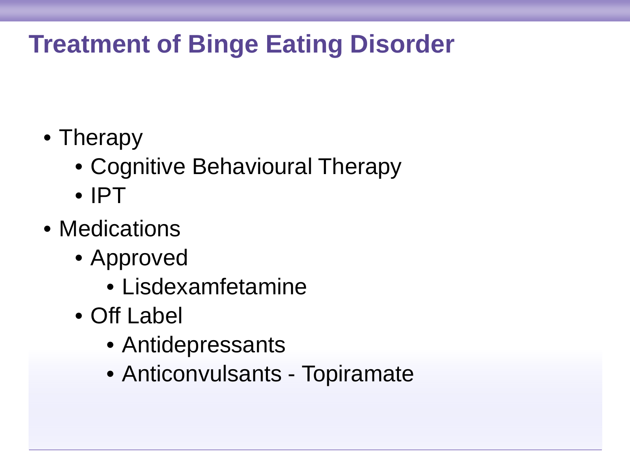# **Treatment of Binge Eating Disorder**

- Therapy
	- Cognitive Behavioural Therapy
	- IPT
- Medications
	- Approved
		- Lisdexamfetamine
	- Off Label
		- Antidepressants
		- Anticonvulsants Topiramate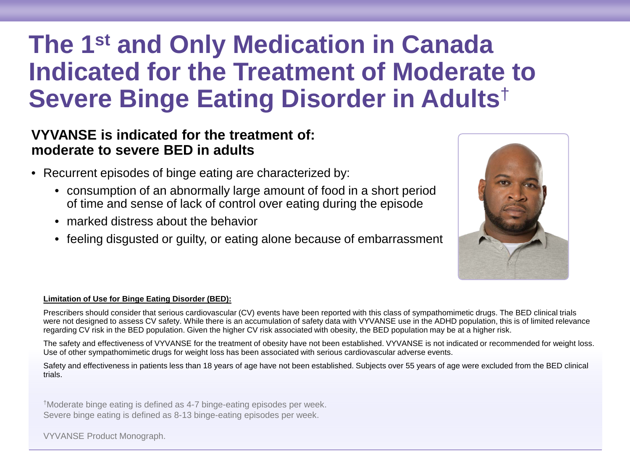## **The 1st and Only Medication in Canada Indicated for the Treatment of Moderate to Severe Binge Eating Disorder in Adults**†

### **VYVANSE is indicated for the treatment of: moderate to severe BED in adults**

- Recurrent episodes of binge eating are characterized by:
	- consumption of an abnormally large amount of food in a short period of time and sense of lack of control over eating during the episode
	- marked distress about the behavior
	- feeling disgusted or guilty, or eating alone because of embarrassment



#### **Limitation of Use for Binge Eating Disorder (BED):**

Prescribers should consider that serious cardiovascular (CV) events have been reported with this class of sympathomimetic drugs. The BED clinical trials were not designed to assess CV safety. While there is an accumulation of safety data with VYVANSE use in the ADHD population, this is of limited relevance regarding CV risk in the BED population. Given the higher CV risk associated with obesity, the BED population may be at a higher risk.

The safety and effectiveness of VYVANSE for the treatment of obesity have not been established. VYVANSE is not indicated or recommended for weight loss. Use of other sympathomimetic drugs for weight loss has been associated with serious cardiovascular adverse events.

Safety and effectiveness in patients less than 18 years of age have not been established. Subjects over 55 years of age were excluded from the BED clinical trials.

†Moderate binge eating is defined as 4-7 binge-eating episodes per week. Severe binge eating is defined as 8-13 binge-eating episodes per week.

VYVANSE Product Monograph.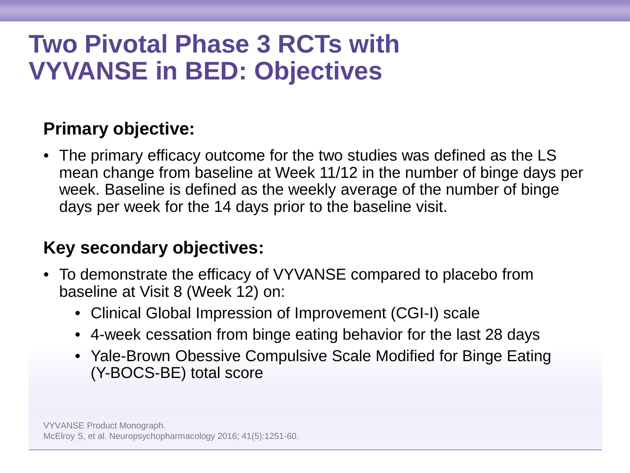# **Two Pivotal Phase 3 RCTs with VYVANSE in BED: Objectives**

### **Primary objective:**

• The primary efficacy outcome for the two studies was defined as the LS mean change from baseline at Week 11/12 in the number of binge days per week. Baseline is defined as the weekly average of the number of binge days per week for the 14 days prior to the baseline visit.

### **Key secondary objectives:**

- To demonstrate the efficacy of VYVANSE compared to placebo from baseline at Visit 8 (Week 12) on:
	- Clinical Global Impression of Improvement (CGI-I) scale
	- 4-week cessation from binge eating behavior for the last 28 days
	- Yale-Brown Obessive Compulsive Scale Modified for Binge Eating (Y-BOCS-BE) total score

VYVANSE Product Monograph. McElroy S, et al. Neuropsychopharmacology 2016; 41(5):1251-60.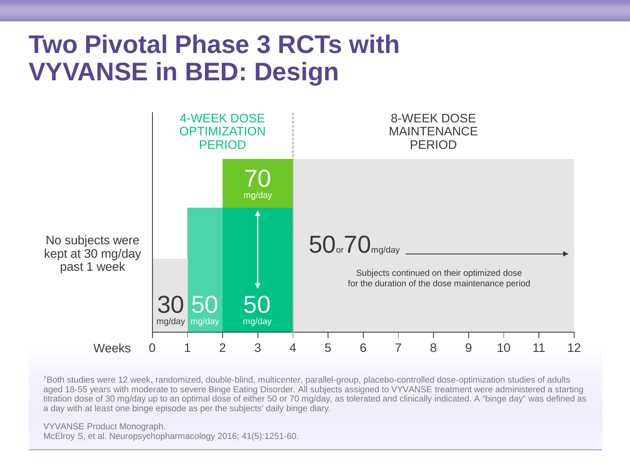### **Two Pivotal Phase 3 RCTs with VYVANSE in BED: Design**



†Both studies were 12 week, randomized, double-blind, multicenter, parallel-group, placebo-controlled dose-optimization studies of adults aged 18-55 years with moderate to severe Binge Eating Disorder. All subjects assigned to VYVANSE treatment were administered a starting titration dose of 30 mg/day up to an optimal dose of either 50 or 70 mg/day, as tolerated and clinically indicated. A "binge day" was defined as a day with at least one binge episode as per the subjects' daily binge diary.

VYVANSE Product Monograph. McElroy S, et al. Neuropsychopharmacology 2016; 41(5):1251-60.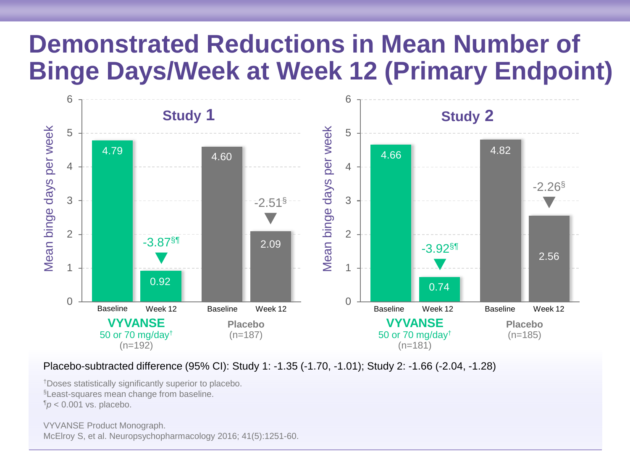### **Demonstrated Reductions in Mean Number of Binge Days/Week at Week 12 (Primary Endpoint)**



Placebo-subtracted difference (95% CI): Study 1: -1.35 (-1.70, -1.01); Study 2: -1.66 (-2.04, -1.28)

†Doses statistically significantly superior to placebo. §Least-squares mean change from baseline.  $\P$ *p* < 0.001 vs. placebo.

VYVANSE Product Monograph. McElroy S, et al. Neuropsychopharmacology 2016; 41(5):1251-60.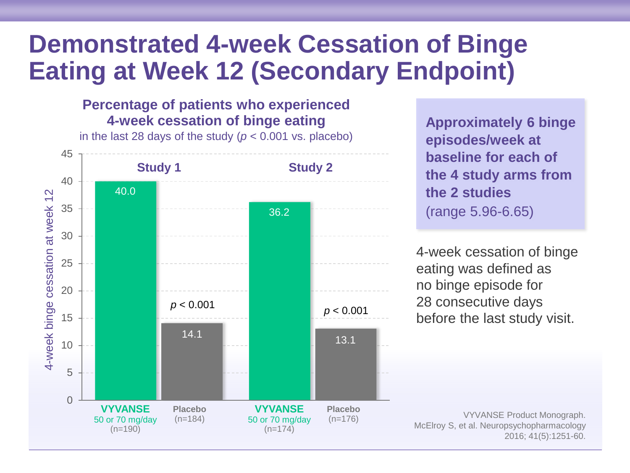### **Demonstrated 4-week Cessation of Binge Eating at Week 12 (Secondary Endpoint)**

**Percentage of patients who experienced 4-week cessation of binge eating** 

35 40 45 **Study 1 Study 2** in the last 28 days of the study (*p* < 0.001 vs. placebo) 40.0 36.2

**Approximately 6 binge episodes/week at baseline for each of the 4 study arms from the 2 studies** (range 5.96-6.65)

4-week cessation of binge eating was defined as no binge episode for 28 consecutive days before the last study visit.

(n=176) VYVANSE Product Monograph. McElroy S, et al. Neuropsychopharmacology 2016; 41(5):1251-60.

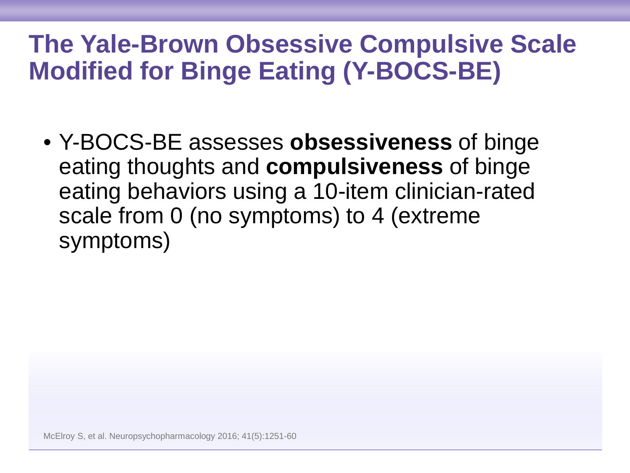## **The Yale-Brown Obsessive Compulsive Scale Modified for Binge Eating (Y-BOCS-BE)**

• Y-BOCS-BE assesses **obsessiveness** of binge eating thoughts and **compulsiveness** of binge eating behaviors using a 10-item clinician-rated scale from 0 (no symptoms) to 4 (extreme symptoms)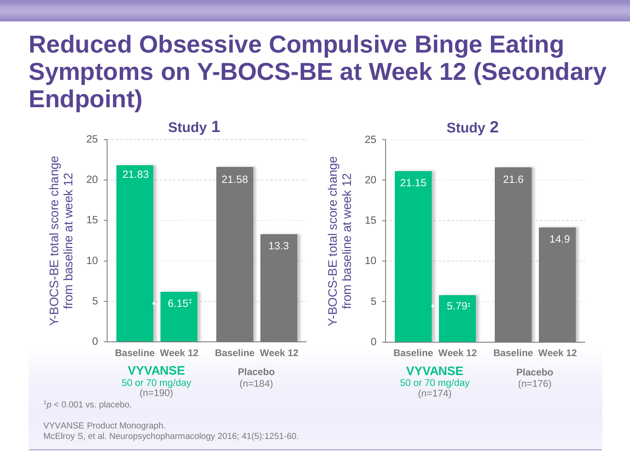### **Reduced Obsessive Compulsive Binge Eating Symptoms on Y-BOCS-BE at Week 12 (Secondary Endpoint)**



VYVANSE Product Monograph.

McElroy S, et al. Neuropsychopharmacology 2016; 41(5):1251-60.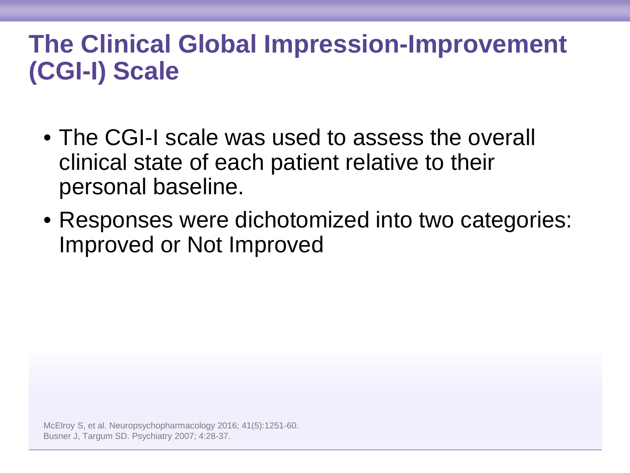# **The Clinical Global Impression-Improvement (CGI-I) Scale**

- The CGI-I scale was used to assess the overall clinical state of each patient relative to their personal baseline.
- Responses were dichotomized into two categories: Improved or Not Improved

McElroy S, et al. Neuropsychopharmacology 2016; 41(5):1251-60. Busner J, Targum SD. Psychiatry 2007; 4:28-37.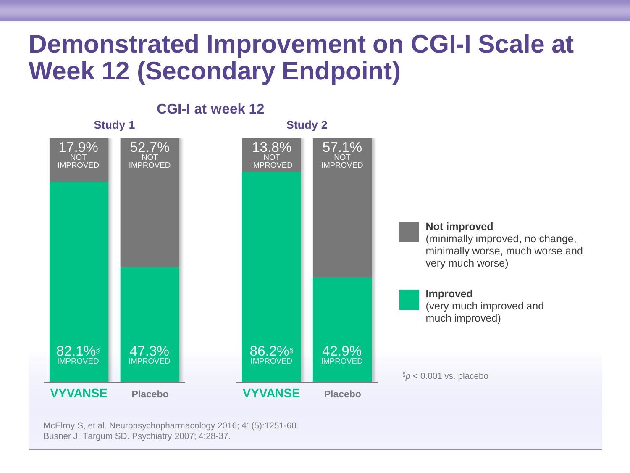### **Demonstrated Improvement on CGI-I Scale at Week 12 (Secondary Endpoint)**



McElroy S, et al. Neuropsychopharmacology 2016; 41(5):1251-60. Busner J, Targum SD. Psychiatry 2007; 4:28-37.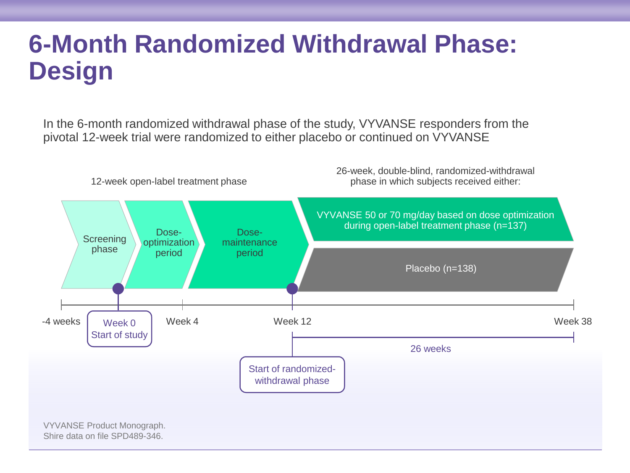# **6-Month Randomized Withdrawal Phase: Design**

In the 6-month randomized withdrawal phase of the study, VYVANSE responders from the pivotal 12-week trial were randomized to either placebo or continued on VYVANSE

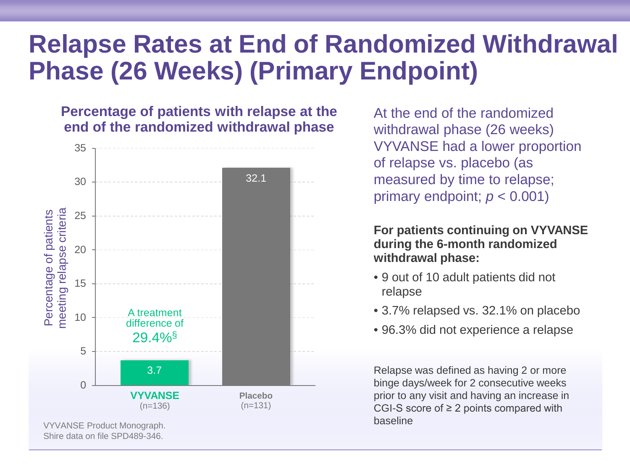### **Relapse Rates at End of Randomized Withdrawal Phase (26 Weeks) (Primary Endpoint)**

### **Percentage of patients with relapse at the end of the randomized withdrawal phase**



At the end of the randomized withdrawal phase (26 weeks) VYVANSE had a lower proportion of relapse vs. placebo (as measured by time to relapse; primary endpoint;  $p < 0.001$ )

**For patients continuing on VYVANSE during the 6-month randomized withdrawal phase:**

- 9 out of 10 adult patients did not relapse
- 3.7% relapsed vs. 32.1% on placebo
- 96.3% did not experience a relapse

Relapse was defined as having 2 or more binge days/week for 2 consecutive weeks prior to any visit and having an increase in CGI-S score of ≥ 2 points compared with baseline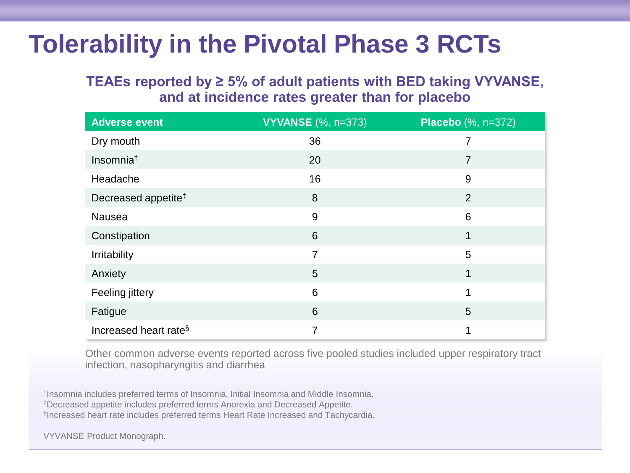# **Tolerability in the Pivotal Phase 3 RCTs**

### **TEAEs reported by ≥ 5% of adult patients with BED taking VYVANSE, and at incidence rates greater than for placebo**

| <b>Adverse event</b>              | <b>VYVANSE</b> (%, n=373) | <b>Placebo</b> (%, n=372) |
|-----------------------------------|---------------------------|---------------------------|
| Dry mouth                         | 36                        |                           |
| Insomnia <sup>t</sup>             | 20                        | 7                         |
| Headache                          | 16                        | 9                         |
| Decreased appetite <sup>‡</sup>   | 8                         | $\overline{2}$            |
| Nausea                            | 9                         | 6                         |
| Constipation                      | 6                         | 1                         |
| Irritability                      | $\overline{7}$            | 5                         |
| Anxiety                           | 5                         | 1                         |
| Feeling jittery                   | 6                         | 1                         |
| Fatigue                           | 6                         | 5                         |
| Increased heart rate <sup>§</sup> | 7                         | 1                         |

Other common adverse events reported across five pooled studies included upper respiratory tract infection, nasopharyngitis and diarrhea

†Insomnia includes preferred terms of Insomnia, Initial Insomnia and Middle Insomnia. ‡Decreased appetite includes preferred terms Anorexia and Decreased Appetite. §Increased heart rate includes preferred terms Heart Rate Increased and Tachycardia.

VYVANSE Product Monograph.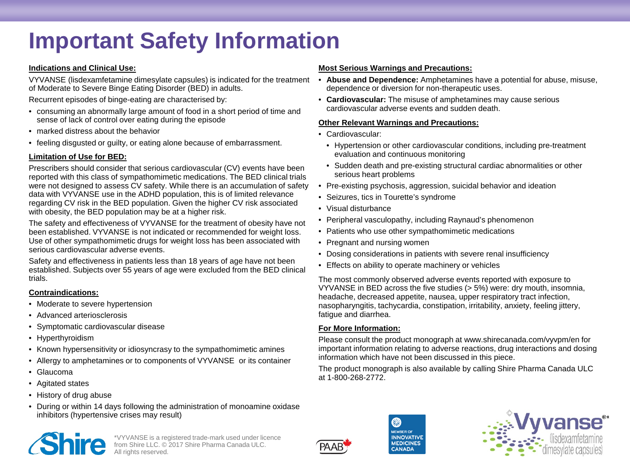### **Important Safety Information**

#### **Indications and Clinical Use:**

VYVANSE (lisdexamfetamine dimesylate capsules) is indicated for the treatment of Moderate to Severe Binge Eating Disorder (BED) in adults.

Recurrent episodes of binge-eating are characterised by:

- consuming an abnormally large amount of food in a short period of time and sense of lack of control over eating during the episode
- marked distress about the behavior
- feeling disgusted or guilty, or eating alone because of embarrassment.

### **Limitation of Use for BED:**

Prescribers should consider that serious cardiovascular (CV) events have been reported with this class of sympathomimetic medications. The BED clinical trials were not designed to assess CV safety. While there is an accumulation of safety data with VYVANSE use in the ADHD population, this is of limited relevance regarding CV risk in the BED population. Given the higher CV risk associated with obesity, the BED population may be at a higher risk.

The safety and effectiveness of VYVANSE for the treatment of obesity have not been established. VYVANSE is not indicated or recommended for weight loss. Use of other sympathomimetic drugs for weight loss has been associated with serious cardiovascular adverse events.

Safety and effectiveness in patients less than 18 years of age have not been established. Subjects over 55 years of age were excluded from the BED clinical trials.

### **Contraindications:**

- Moderate to severe hypertension
- Advanced arteriosclerosis
- Symptomatic cardiovascular disease
- Hyperthyroidism
- Known hypersensitivity or idiosyncrasy to the sympathomimetic amines
- Allergy to amphetamines or to components of VYVANSE or its container
- Glaucoma
- Agitated states
- History of drug abuse
- During or within 14 days following the administration of monoamine oxidase inhibitors (hypertensive crises may result)

\*VYVANSE is a registered trade-mark used under licence from Shire LLC. © 2017 Shire Pharma Canada ULC. All rights reserved.

#### **Most Serious Warnings and Precautions:**

- **Abuse and Dependence:** Amphetamines have a potential for abuse, misuse, dependence or diversion for non-therapeutic uses.
- **Cardiovascular:** The misuse of amphetamines may cause serious cardiovascular adverse events and sudden death.

### **Other Relevant Warnings and Precautions:**

- Cardiovascular:
	- Hypertension or other cardiovascular conditions, including pre-treatment evaluation and continuous monitoring
	- Sudden death and pre-existing structural cardiac abnormalities or other serious heart problems
- Pre-existing psychosis, aggression, suicidal behavior and ideation
- Seizures, tics in Tourette's syndrome
- Visual disturbance
- Peripheral vasculopathy, including Raynaud's phenomenon
- Patients who use other sympathomimetic medications
- Pregnant and nursing women
- Dosing considerations in patients with severe renal insufficiency
- Effects on ability to operate machinery or vehicles

The most commonly observed adverse events reported with exposure to VYVANSE in BED across the five studies (> 5%) were: dry mouth, insomnia, headache, decreased appetite, nausea, upper respiratory tract infection, nasopharyngitis, tachycardia, constipation, irritability, anxiety, feeling jittery, fatigue and diarrhea.

### **For More Information:**

Please consult the product monograph at www.shirecanada.com/vyvpm/en for important information relating to adverse reactions, drug interactions and dosing information which have not been discussed in this piece.

The product monograph is also available by calling Shire Pharma Canada ULC at 1-800-268-2772.



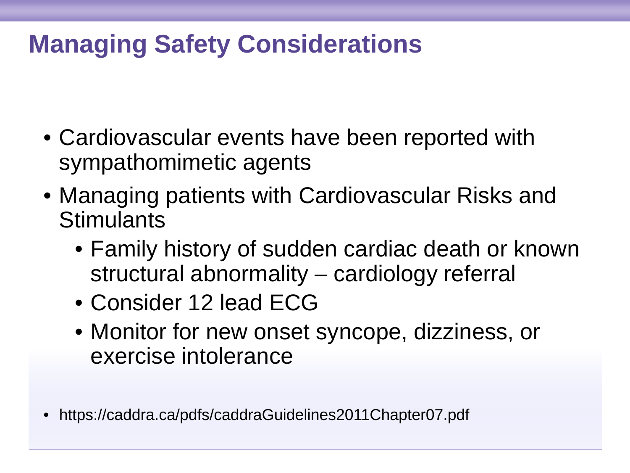# **Managing Safety Considerations**

- Cardiovascular events have been reported with sympathomimetic agents
- Managing patients with Cardiovascular Risks and **Stimulants** 
	- Family history of sudden cardiac death or known structural abnormality – cardiology referral
	- Consider 12 lead ECG
	- Monitor for new onset syncope, dizziness, or exercise intolerance
- https://caddra.ca/pdfs/caddraGuidelines2011Chapter07.pdf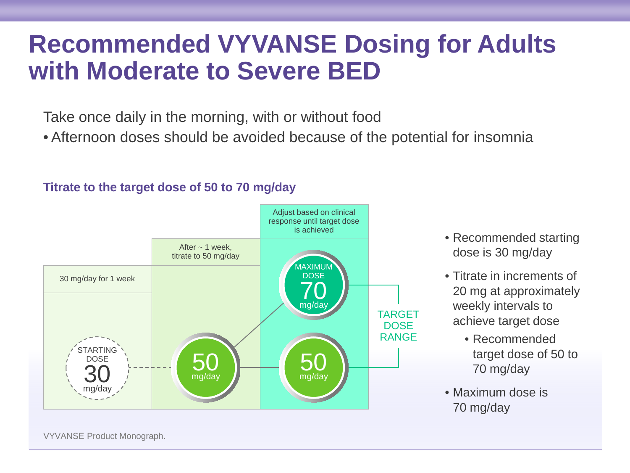### **Recommended VYVANSE Dosing for Adults with Moderate to Severe BED**

Take once daily in the morning, with or without food

• Afternoon doses should be avoided because of the potential for insomnia

#### TARGET **DOSE** RANGE 50 mg/day 50 mg/day 70 mg/day **MAXIMU DOSE** *TARTING* DOSE 30 mg/day 30 mg/day for 1 week After  $\sim$  1 week, titrate to 50 mg/day Adjust based on clinical response until target dose is achieved

### **Titrate to the target dose of 50 to 70 mg/day**

- Recommended starting dose is 30 mg/day
- Titrate in increments of 20 mg at approximately weekly intervals to achieve target dose
	- Recommended target dose of 50 to 70 mg/day
- Maximum dose is 70 mg/day

VYVANSE Product Monograph.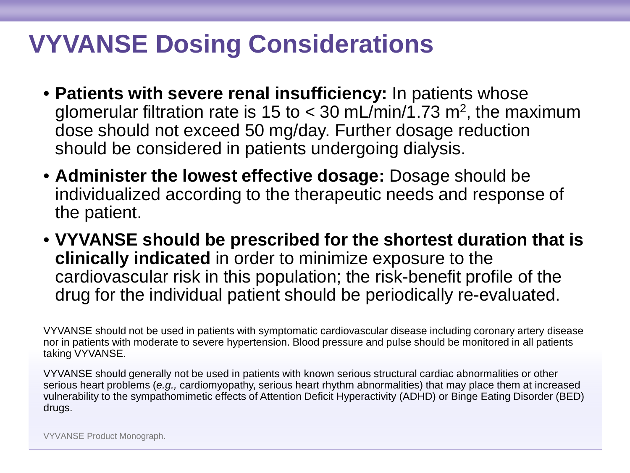# **VYVANSE Dosing Considerations**

- **Patients with severe renal insufficiency:** In patients whose glomerular filtration rate is 15 to  $<$  30 mL/min/1.73 m<sup>2</sup>, the maximum dose should not exceed 50 mg/day. Further dosage reduction should be considered in patients undergoing dialysis.
- **Administer the lowest effective dosage:** Dosage should be individualized according to the therapeutic needs and response of the patient.
- **VYVANSE should be prescribed for the shortest duration that is clinically indicated** in order to minimize exposure to the cardiovascular risk in this population; the risk-benefit profile of the drug for the individual patient should be periodically re-evaluated.

VYVANSE should not be used in patients with symptomatic cardiovascular disease including coronary artery disease nor in patients with moderate to severe hypertension. Blood pressure and pulse should be monitored in all patients taking VYVANSE.

VYVANSE should generally not be used in patients with known serious structural cardiac abnormalities or other serious heart problems (*e.g.,* cardiomyopathy, serious heart rhythm abnormalities) that may place them at increased vulnerability to the sympathomimetic effects of Attention Deficit Hyperactivity (ADHD) or Binge Eating Disorder (BED) drugs.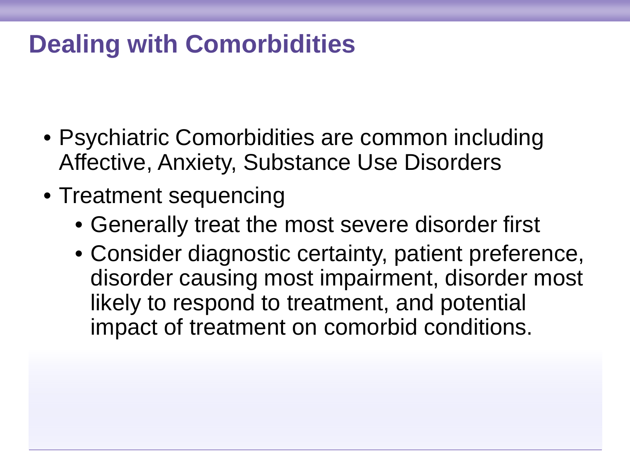# **Dealing with Comorbidities**

- Psychiatric Comorbidities are common including Affective, Anxiety, Substance Use Disorders
- Treatment sequencing
	- Generally treat the most severe disorder first
	- Consider diagnostic certainty, patient preference, disorder causing most impairment, disorder most likely to respond to treatment, and potential impact of treatment on comorbid conditions.